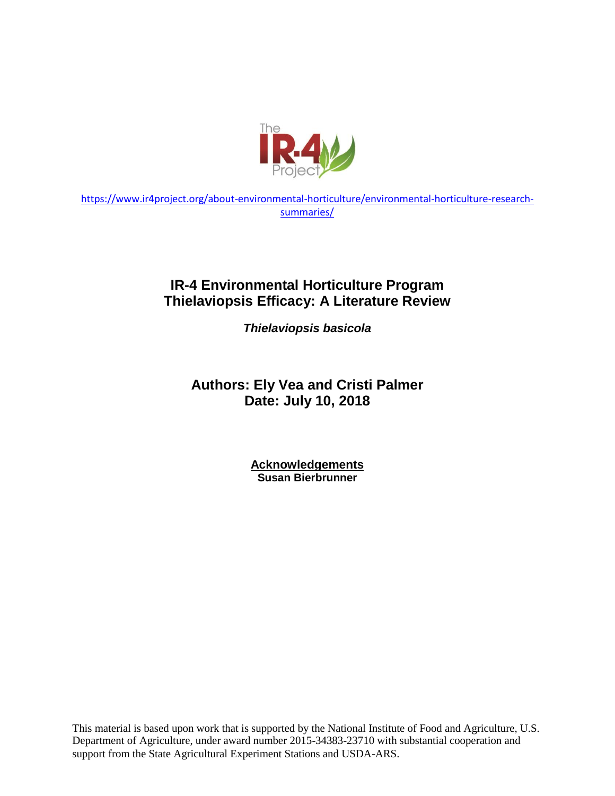

[https://www.ir4project.org/about-environmental-horticulture/environmental-horticulture-research](https://www.ir4project.org/about-environmental-horticulture/environmental-horticulture-research-summaries/)[summaries/](https://www.ir4project.org/about-environmental-horticulture/environmental-horticulture-research-summaries/)

## **IR-4 Environmental Horticulture Program Thielaviopsis Efficacy: A Literature Review**

*Thielaviopsis basicola*

# **Authors: Ely Vea and Cristi Palmer Date: July 10, 2018**

**Acknowledgements Susan Bierbrunner**

This material is based upon work that is supported by the National Institute of Food and Agriculture, U.S. Department of Agriculture, under award number 2015-34383-23710 with substantial cooperation and support from the State Agricultural Experiment Stations and USDA-ARS.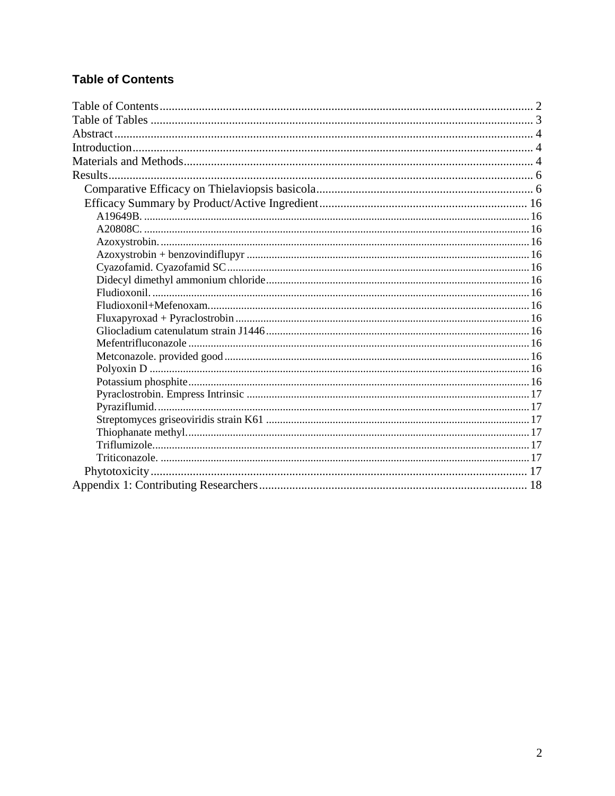## <span id="page-1-0"></span>**Table of Contents**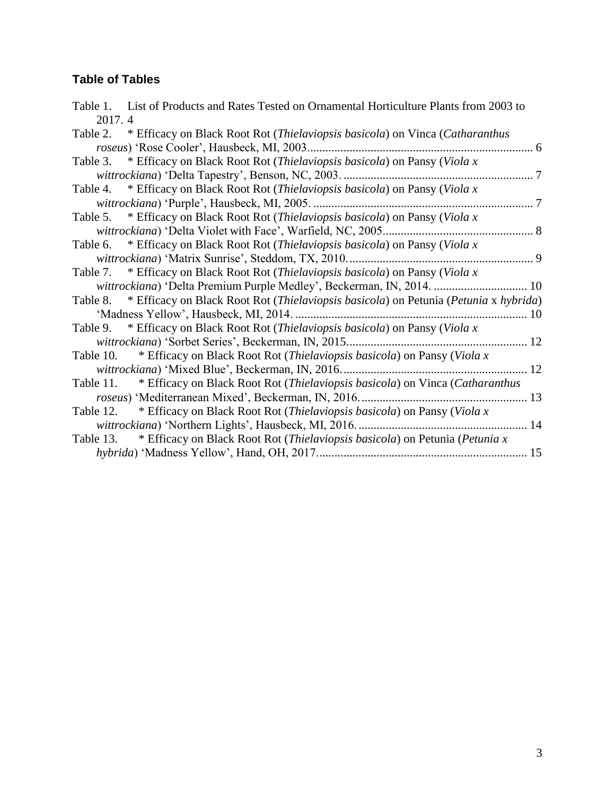## <span id="page-2-0"></span>**Table of Tables**

| Table 1. List of Products and Rates Tested on Ornamental Horticulture Plants from 2003 to     |  |
|-----------------------------------------------------------------------------------------------|--|
| 2017.4                                                                                        |  |
| Table 2. * Efficacy on Black Root Rot (Thielaviopsis basicola) on Vinca (Catharanthus         |  |
|                                                                                               |  |
| Table 3. * Efficacy on Black Root Rot (Thielaviopsis basicola) on Pansy (Viola x              |  |
|                                                                                               |  |
| Table 4. * Efficacy on Black Root Rot (Thielaviopsis basicola) on Pansy (Viola x              |  |
|                                                                                               |  |
| Table 5. * Efficacy on Black Root Rot (Thielaviopsis basicola) on Pansy (Viola x              |  |
|                                                                                               |  |
| Table 6. * Efficacy on Black Root Rot (Thielaviopsis basicola) on Pansy (Viola x              |  |
|                                                                                               |  |
| Table 7. * Efficacy on Black Root Rot (Thielaviopsis basicola) on Pansy (Viola x              |  |
| wittrockiana) 'Delta Premium Purple Medley', Beckerman, IN, 2014.  10                         |  |
| Table 8. * Efficacy on Black Root Rot (Thielaviopsis basicola) on Petunia (Petunia x hybrida) |  |
| 'Madness Yellow', Hausbeck, MI, 2014                                                          |  |
| * Efficacy on Black Root Rot (Thielaviopsis basicola) on Pansy (Viola x<br>Table 9.           |  |
|                                                                                               |  |
| Table 10. * Efficacy on Black Root Rot (Thielaviopsis basicola) on Pansy (Viola x             |  |
|                                                                                               |  |
| Table 11. * Efficacy on Black Root Rot (Thielaviopsis basicola) on Vinca (Catharanthus        |  |
|                                                                                               |  |
| Table 12. * Efficacy on Black Root Rot (Thielaviopsis basicola) on Pansy (Viola x             |  |
|                                                                                               |  |
| Table 13. * Efficacy on Black Root Rot (Thielaviopsis basicola) on Petunia (Petunia x         |  |
|                                                                                               |  |
|                                                                                               |  |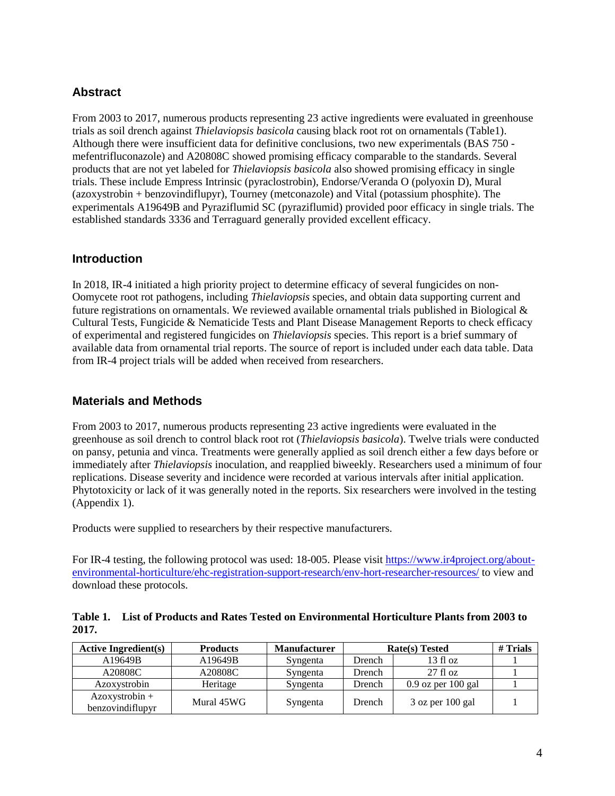#### <span id="page-3-0"></span>**Abstract**

From 2003 to 2017, numerous products representing 23 active ingredients were evaluated in greenhouse trials as soil drench against *Thielaviopsis basicola* causing black root rot on ornamentals (Table1). Although there were insufficient data for definitive conclusions, two new experimentals (BAS 750 mefentrifluconazole) and A20808C showed promising efficacy comparable to the standards. Several products that are not yet labeled for *Thielaviopsis basicola* also showed promising efficacy in single trials. These include Empress Intrinsic (pyraclostrobin), Endorse/Veranda O (polyoxin D), Mural (azoxystrobin + benzovindiflupyr), Tourney (metconazole) and Vital (potassium phosphite). The experimentals A19649B and Pyraziflumid SC (pyraziflumid) provided poor efficacy in single trials. The established standards 3336 and Terraguard generally provided excellent efficacy.

#### <span id="page-3-1"></span>**Introduction**

In 2018, IR-4 initiated a high priority project to determine efficacy of several fungicides on non-Oomycete root rot pathogens, including *Thielaviopsis* species, and obtain data supporting current and future registrations on ornamentals. We reviewed available ornamental trials published in Biological & Cultural Tests, Fungicide & Nematicide Tests and Plant Disease Management Reports to check efficacy of experimental and registered fungicides on *Thielaviopsis* species. This report is a brief summary of available data from ornamental trial reports. The source of report is included under each data table. Data from IR-4 project trials will be added when received from researchers.

#### <span id="page-3-2"></span>**Materials and Methods**

From 2003 to 2017, numerous products representing 23 active ingredients were evaluated in the greenhouse as soil drench to control black root rot (*Thielaviopsis basicola*). Twelve trials were conducted on pansy, petunia and vinca. Treatments were generally applied as soil drench either a few days before or immediately after *Thielaviopsis* inoculation, and reapplied biweekly. Researchers used a minimum of four replications. Disease severity and incidence were recorded at various intervals after initial application. Phytotoxicity or lack of it was generally noted in the reports. Six researchers were involved in the testing (Appendix 1).

Products were supplied to researchers by their respective manufacturers.

For IR-4 testing, the following protocol was used: 18-005. Please visit [https://www.ir4project.org/about](https://www.ir4project.org/about-environmental-horticulture/ehc-registration-support-research/env-hort-researcher-resources/)[environmental-horticulture/ehc-registration-support-research/env-hort-researcher-resources/](https://www.ir4project.org/about-environmental-horticulture/ehc-registration-support-research/env-hort-researcher-resources/) to view and download these protocols.

<span id="page-3-3"></span>**Table 1. List of Products and Rates Tested on Environmental Horticulture Plants from 2003 to 2017.**

| <b>Active Ingredient(s)</b>          | <b>Products</b> | <b>Manufacturer</b> | Rate(s) Tested | $#$ Trials           |  |
|--------------------------------------|-----------------|---------------------|----------------|----------------------|--|
| A19649B                              | A19649B         | Syngenta            | Drench         | 13f1oz               |  |
| A20808C                              | A20808C         | Syngenta            | Drench         | 27f1oz               |  |
| Azoxystrobin                         | Heritage        | Syngenta            | Drench         | $0.9$ oz per 100 gal |  |
| $Azoxystrobin +$<br>benzovindiflupyr | Mural 45WG      | Syngenta            | Drench         | $3$ oz per $100$ gal |  |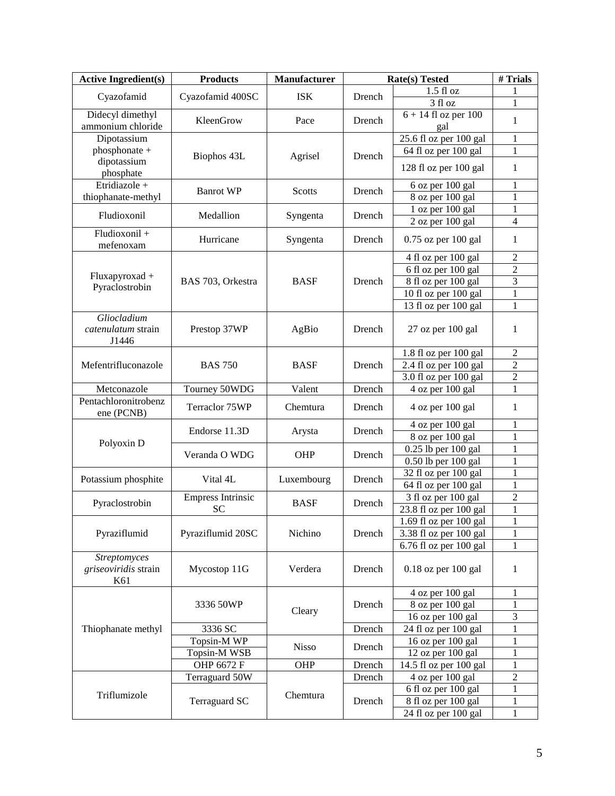| <b>Active Ingredient(s)</b>                 | <b>Products</b>          | Manufacturer  | <b>Rate(s)</b> Tested | # Trials                        |                |
|---------------------------------------------|--------------------------|---------------|-----------------------|---------------------------------|----------------|
|                                             |                          |               |                       | $1.5f1$ oz                      | 1              |
| Cyazofamid                                  | Cyazofamid 400SC         | <b>ISK</b>    | Drench                | 3 fl oz                         | 1              |
| Didecyl dimethyl<br>ammonium chloride       | KleenGrow                | Pace          | Drench                | $6 + 14$ fl oz per $100$<br>gal | $\mathbf{1}$   |
| Dipotassium                                 |                          |               |                       | 25.6 fl oz per 100 gal          | $\mathbf 1$    |
| phosphonate +                               | Biophos 43L              | Agrisel       | Drench                | 64 fl oz per 100 gal            | $\mathbf 1$    |
| dipotassium<br>phosphate                    |                          |               |                       | 128 fl oz per 100 gal           | $\mathbf{1}$   |
| Etridiazole +                               | <b>Banrot WP</b>         | <b>Scotts</b> |                       | 6 oz per 100 gal                | 1              |
| thiophanate-methyl                          |                          |               | Drench                | 8 oz per 100 gal                | $\mathbf 1$    |
| Fludioxonil                                 | Medallion                | Syngenta      | Drench                | 1 oz per 100 gal                | $\mathbf{1}$   |
|                                             |                          |               |                       | 2 oz per 100 gal                | $\overline{4}$ |
| Fludioxonil +<br>mefenoxam                  | Hurricane                | Syngenta      | Drench                | $0.75$ oz per $100$ gal         | 1              |
|                                             |                          |               |                       | 4 fl oz per 100 gal             | $\overline{2}$ |
| Fluxapyroxad +                              |                          |               |                       | 6 fl oz per 100 gal             | $\overline{c}$ |
| Pyraclostrobin                              | BAS 703, Orkestra        | <b>BASF</b>   | Drench                | 8 fl oz per 100 gal             | 3              |
|                                             |                          |               |                       | 10 fl oz per 100 gal            | $\mathbf 1$    |
|                                             |                          |               |                       | 13 fl oz per 100 gal            | 1              |
| Gliocladium<br>catenulatum strain<br>J1446  | Prestop 37WP             | AgBio         | Drench                | 27 oz per 100 gal               | 1              |
|                                             |                          |               |                       | 1.8 fl oz per 100 gal           | $\overline{c}$ |
| Mefentrifluconazole                         | <b>BAS 750</b>           | <b>BASF</b>   | Drench                | 2.4 fl oz per 100 gal           | $\overline{2}$ |
|                                             |                          |               |                       | 3.0 fl oz per 100 gal           | $\overline{2}$ |
| Metconazole                                 | Tourney 50WDG            | Valent        | Drench                | 4 oz per 100 gal                | $\mathbf{1}$   |
| Pentachloronitrobenz<br>ene (PCNB)          | Terraclor 75WP           | Chemtura      | Drench                | 4 oz per 100 gal                | $\mathbf{1}$   |
|                                             | Endorse 11.3D            |               | Drench                | 4 oz per 100 gal                | 1              |
| Polyoxin D                                  |                          | Arysta        |                       | 8 oz per 100 gal                | $\mathbf{1}$   |
|                                             | Veranda O WDG            | OHP           | Drench                | 0.25 lb per 100 gal             | 1              |
|                                             |                          |               |                       | 0.50 lb per 100 gal             | 1              |
| Potassium phosphite                         | Vital 4L                 | Luxembourg    | Drench                | 32 fl oz per 100 gal            | $\mathbf{1}$   |
|                                             |                          |               |                       | 64 fl oz per 100 gal            | $\mathbf{1}$   |
| Pyraclostrobin                              | <b>Empress Intrinsic</b> | <b>BASF</b>   | Drench                | 3 fl oz per 100 gal             | $\overline{2}$ |
|                                             | <b>SC</b>                |               |                       | 23.8 fl oz per 100 gal          | $\mathbf{1}$   |
|                                             |                          |               |                       | 1.69 fl oz per 100 gal          | $\mathbf{1}$   |
| Pyraziflumid                                | Pyraziflumid 20SC        | Nichino       | Drench                | 3.38 fl oz per 100 gal          | 1              |
|                                             |                          |               |                       | $6.76$ fl oz per $100$ gal      | 1              |
| Streptomyces<br>griseoviridis strain<br>K61 | Mycostop 11G             | Verdera       | Drench                | $0.18$ oz per $100$ gal         | 1              |
|                                             |                          |               |                       | 4 oz per 100 gal                | 1              |
|                                             | 3336 50WP                | Cleary        | Drench                | 8 oz per 100 gal                | 1              |
|                                             |                          |               |                       | 16 oz per 100 gal               | 3              |
| Thiophanate methyl                          | 3336 SC                  |               | Drench                | 24 fl oz per 100 gal            | 1              |
|                                             | Topsin-M WP              | <b>Nisso</b>  | Drench                | 16 oz per 100 gal               | 1              |
|                                             | Topsin-M WSB             |               |                       | 12 oz per 100 gal               | 1              |
|                                             | OHP 6672 F               | OHP           | Drench                | 14.5 fl oz per 100 gal          | 1              |
|                                             | Terraguard 50W           |               | Drench                | 4 oz per 100 gal                | $\overline{c}$ |
| Triflumizole                                |                          | Chemtura      |                       | 6 fl oz per 100 gal             | 1              |
|                                             | Terraguard SC            |               | Drench                | 8 fl oz per 100 gal             | 1              |
|                                             |                          |               |                       | 24 fl oz per 100 gal            | $\mathbf{1}$   |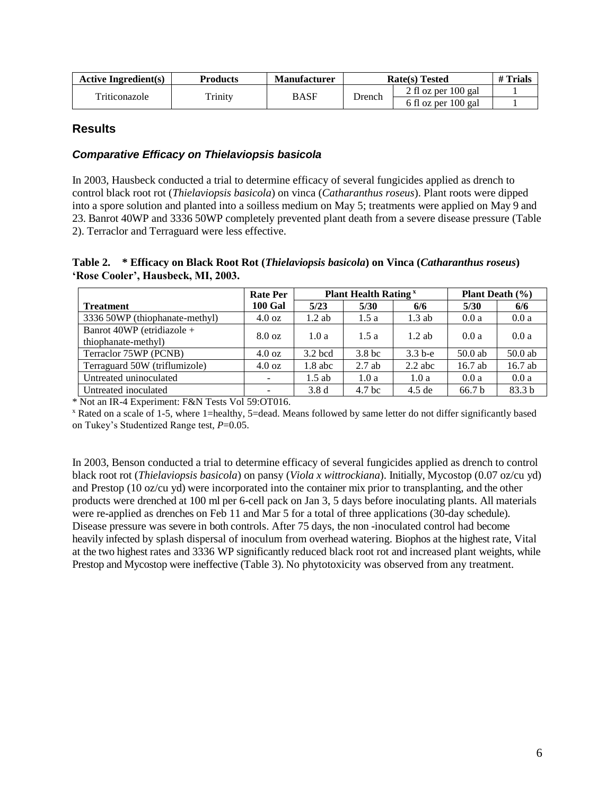| <b>Active Ingredient(s)</b> | Products | <b>Manufacturer</b> | <b>Rate(s)</b> Tested | # Trials              |  |
|-----------------------------|----------|---------------------|-----------------------|-----------------------|--|
| Triticonazole               |          | BASF                | Drench                | 2 fl oz per $100$ gal |  |
|                             | Trinity  |                     |                       | 6 fl oz per 100 gal   |  |

#### <span id="page-5-0"></span>**Results**

#### <span id="page-5-1"></span>*Comparative Efficacy on Thielaviopsis basicola*

In 2003, Hausbeck conducted a trial to determine efficacy of several fungicides applied as drench to control black root rot (*Thielaviopsis basicola*) on vinca (*Catharanthus roseus*). Plant roots were dipped into a spore solution and planted into a soilless medium on May 5; treatments were applied on May 9 and 23. Banrot 40WP and 3336 50WP completely prevented plant death from a severe disease pressure [\(Table](#page-5-2)  [2\)](#page-5-2). Terraclor and Terraguard were less effective.

<span id="page-5-2"></span>**Table 2. \* Efficacy on Black Root Rot (***Thielaviopsis basicola***) on Vinca (***Catharanthus roseus***) 'Rose Cooler', Hausbeck, MI, 2003.**

|                                                   | <b>Plant Health Rating</b> <sup>x</sup><br><b>Plant Death</b> $(\% )$<br><b>Rate Per</b> |           |                   |           |                   |           |  |
|---------------------------------------------------|------------------------------------------------------------------------------------------|-----------|-------------------|-----------|-------------------|-----------|--|
| <b>Treatment</b>                                  | <b>100 Gal</b>                                                                           | 5/23      | 5/30              | 6/6       | 5/30              | 6/6       |  |
| 3336 50WP (thiophanate-methyl)                    | $4.0 \text{ oz}$                                                                         | $1.2$ ab  | 1.5a              | $1.3$ ab  | 0.0a              | 0.0a      |  |
| Banrot 40WP (etridiazole +<br>thiophanate-methyl) | 8.0 oz                                                                                   | 1.0a      | 1.5a              | $1.2$ ab  | 0.0a              | 0.0a      |  |
| Terraclor 75WP (PCNB)                             | $4.0 \text{ oz}$                                                                         | $3.2$ bcd | 3.8 <sub>bc</sub> | $3.3b-e$  | $50.0$ ab         | $50.0$ ab |  |
| Terraguard 50W (triflumizole)                     | $4.0 \text{ oz}$                                                                         | $1.8$ abc | $2.7$ ab          | $2.2$ abc | $16.7$ ab         | 16.7 ab   |  |
| Untreated uninoculated                            |                                                                                          | $1.5$ ab  | 1.0a              | 1.0a      | 0.0a              | 0.0a      |  |
| Untreated inoculated                              |                                                                                          | 3.8d      | 4.7 <sub>bc</sub> | $4.5$ de  | 66.7 <sub>b</sub> | 83.3 b    |  |

\* Not an IR-4 Experiment: F&N Tests Vol 59:OT016.

<sup>x</sup> Rated on a scale of 1-5, where 1=healthy, 5=dead. Means followed by same letter do not differ significantly based on Tukey's Studentized Range test, *P*=0.05.

In 2003, Benson conducted a trial to determine efficacy of several fungicides applied as drench to control black root rot (*Thielaviopsis basicola*) on pansy (*Viola x wittrockiana*). Initially, Mycostop (0.07 oz/cu yd) and Prestop (10 oz/cu yd) were incorporated into the container mix prior to transplanting, and the other products were drenched at 100 ml per 6-cell pack on Jan 3, 5 days before inoculating plants. All materials were re-applied as drenches on Feb 11 and Mar 5 for a total of three applications (30-day schedule). Disease pressure was severe in both controls. After 75 days, the non -inoculated control had become heavily infected by splash dispersal of inoculum from overhead watering. Biophos at the highest rate, Vital at the two highest rates and 3336 WP significantly reduced black root rot and increased plant weights, while Prestop and Mycostop were ineffective [\(Table 3\)](#page-6-0). No phytotoxicity was observed from any treatment.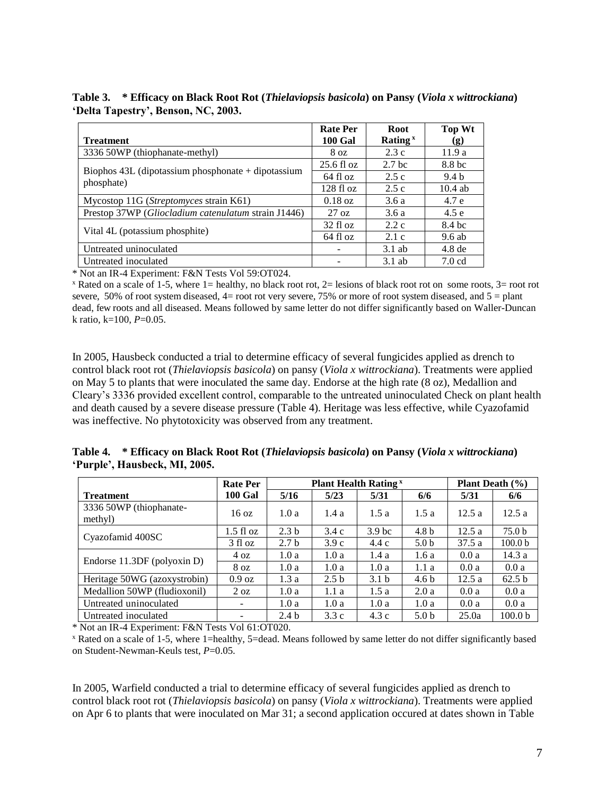<span id="page-6-0"></span>**Table 3. \* Efficacy on Black Root Rot (***Thielaviopsis basicola***) on Pansy (***Viola x wittrockiana***) 'Delta Tapestry', Benson, NC, 2003.**

|                                                      | <b>Rate Per</b>      | <b>Root</b>       | Top Wt            |
|------------------------------------------------------|----------------------|-------------------|-------------------|
| <b>Treatment</b>                                     | <b>100 Gal</b>       | Rating $x$        | (g)               |
| 3336 50WP (thiophanate-methyl)                       | 8 <sub>oz</sub>      | 2.3c              | 11.9 a            |
|                                                      | $25.6 \text{ fl oz}$ | 2.7 <sub>bc</sub> | 8.8 bc            |
| Biophos $43L$ (dipotassium phosphonate + dipotassium | 64 fl oz             | 2.5c              | 9.4 b             |
| phosphate)                                           | 128f1oz              | 2.5c              | $10.4$ ab         |
| Mycostop 11G ( <i>Streptomyces</i> strain K61)       | $0.18 \text{ oz}$    | 3.6a              | 4.7 e             |
| Prestop 37WP (Gliocladium catenulatum strain J1446)  | $27 \text{ oz}$      | 3.6a              | 4.5e              |
| Vital 4L (potassium phosphite)                       | $32 \text{ fl oz}$   | 2.2c              | 8.4 bc            |
|                                                      | $64$ fl $oz$         | 2.1c              | $9.6$ ab          |
| Untreated uninoculated                               |                      | $3.1$ ab          | 4.8 <sub>de</sub> |
| Untreated inoculated                                 |                      | $3.1$ ab          | 7.0 cd            |

\* Not an IR-4 Experiment: F&N Tests Vol 59:OT024.

 $\overline{x}$  Rated on a scale of 1-5, where 1= healthy, no black root rot, 2= lesions of black root rot on some roots, 3= root rot severe, 50% of root system diseased,  $4=$  root rot very severe, 75% or more of root system diseased, and  $5=$  plant dead, few roots and all diseased. Means followed by same letter do not differ significantly based on Waller-Duncan k ratio, k=100, *P*=0.05.

In 2005, Hausbeck conducted a trial to determine efficacy of several fungicides applied as drench to control black root rot (*Thielaviopsis basicola*) on pansy (*Viola x wittrockiana*). Treatments were applied on May 5 to plants that were inoculated the same day. Endorse at the high rate (8 oz), Medallion and Cleary's 3336 provided excellent control, comparable to the untreated uninoculated Check on plant health and death caused by a severe disease pressure [\(Table 4\)](#page-6-1). Heritage was less effective, while Cyazofamid was ineffective. No phytotoxicity was observed from any treatment.

<span id="page-6-1"></span>

|                               | Table 4. * Efficacy on Black Root Rot (Thielaviopsis basicola) on Pansy (Viola x wittrockiana) |  |
|-------------------------------|------------------------------------------------------------------------------------------------|--|
| 'Purple', Hausbeck, MI, 2005. |                                                                                                |  |

|                                    | <b>Rate Per</b>          |                  | <b>Plant Health Rating</b> <sup>x</sup> |                   | <b>Plant Death</b> $(\% )$ |       |                    |
|------------------------------------|--------------------------|------------------|-----------------------------------------|-------------------|----------------------------|-------|--------------------|
| <b>Treatment</b>                   | <b>100 Gal</b>           | 5/16             | 5/23                                    | 5/31              | 6/6                        | 5/31  | 6/6                |
| 3336 50WP (thiophanate-<br>methyl) | $16 \text{ oz}$          | 1.0a             | 1.4a                                    | 1.5a              | 1.5a                       | 12.5a | 12.5a              |
|                                    | $1.5 \text{ fl oz}$      | 2.3 <sub>b</sub> | 3.4c                                    | 3.9 <sub>bc</sub> | 4.8 <sub>b</sub>           | 12.5a | 75.0 b             |
| Cyazofamid 400SC                   | $3$ fl oz                | 2.7 <sub>b</sub> | 3.9c                                    | 4.4c              | 5.0 <sub>b</sub>           | 37.5a | 100.0 <sub>b</sub> |
|                                    | 4 oz                     | 1.0a             | 1.0a                                    | 1.4a              | 1.6a                       | 0.0a  | 14.3a              |
| Endorse 11.3DF (polyoxin D)        | 8 <sub>oz</sub>          | 1.0a             | 1.0a                                    | 1.0a              | 1.1a                       | 0.0a  | 0.0a               |
| Heritage 50WG (azoxystrobin)       | $0.9 \text{ oz}$         | 1.3a             | 2.5 <sub>b</sub>                        | 3.1 <sub>b</sub>  | 4.6 <sub>b</sub>           | 12.5a | 62.5 <sub>b</sub>  |
| Medallion 50WP (fludioxonil)       | $2 \text{ oz}$           | 1.0a             | 1.1a                                    | 1.5a              | 2.0a                       | 0.0a  | 0.0a               |
| Untreated uninoculated             | $\overline{\phantom{a}}$ | 1.0a             | 1.0a                                    | 1.0a              | 1.0a                       | 0.0a  | 0.0a               |
| Untreated inoculated               |                          | 2.4 <sub>b</sub> | 3.3c                                    | 4.3c              | 5.0 <sub>b</sub>           | 25.0a | 100.0 <sub>b</sub> |

\* Not an IR-4 Experiment: F&N Tests Vol 61:OT020.

<sup>x</sup> Rated on a scale of 1-5, where 1=healthy, 5=dead. Means followed by same letter do not differ significantly based on Student-Newman-Keuls test, *P*=0.05.

In 2005, Warfield conducted a trial to determine efficacy of several fungicides applied as drench to control black root rot (*Thielaviopsis basicola*) on pansy (*Viola x wittrockiana*). Treatments were applied on Apr 6 to plants that were inoculated on Mar 31; a second application occured at dates shown i[n Table](#page-7-0)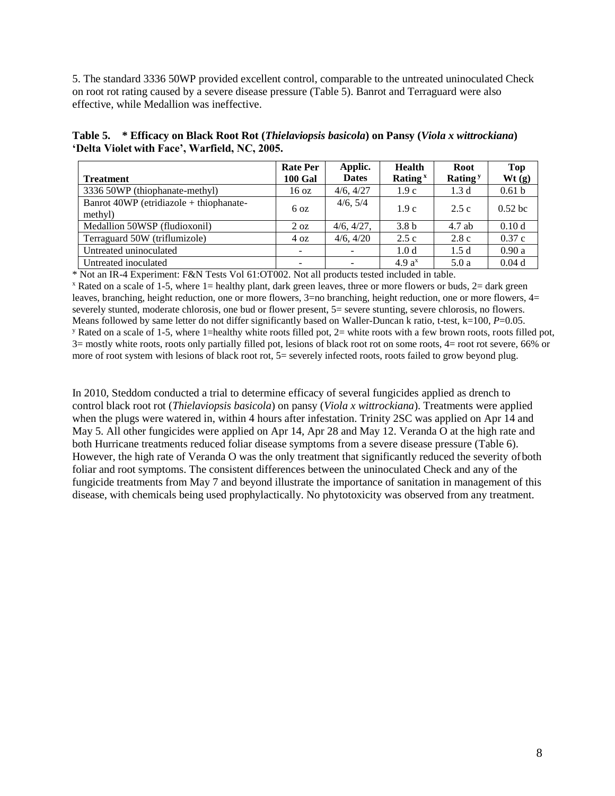[5.](#page-7-0) The standard 3336 50WP provided excellent control, comparable to the untreated uninoculated Check on root rot rating caused by a severe disease pressure [\(Table 5\)](#page-7-0). Banrot and Terraguard were also effective, while Medallion was ineffective.

<span id="page-7-0"></span>**Table 5. \* Efficacy on Black Root Rot (***Thielaviopsis basicola***) on Pansy (***Viola x wittrockiana***) 'Delta Violet with Face', Warfield, NC, 2005.**

|                                                    | <b>Rate Per</b> | Applic.      | Health            | <b>Root</b>      | <b>Top</b>        |
|----------------------------------------------------|-----------------|--------------|-------------------|------------------|-------------------|
| <b>Treatment</b>                                   | <b>100 Gal</b>  | <b>Dates</b> | Rating $x$        | Rating $y$       | Wt(g)             |
| 3336 50WP (thiophanate-methyl)                     | 16 oz           | 4/6, 4/27    | 1.9c              | 1.3 <sub>d</sub> | 0.61 <sub>b</sub> |
| Banrot 40WP (etridiazole + thiophanate-<br>methyl) | 6 <sub>oz</sub> | 4/6, 5/4     | 1.9c              | 2.5c             | $0.52$ bc         |
| Medallion 50WSP (fludioxonil)                      | $2 \text{ oz}$  | 4/6, 4/27,   | 3.8 <sub>b</sub>  | $4.7$ ab         | 0.10d             |
| Terraguard 50W (triflumizole)                      | 4 oz            | 4/6, 4/20    | 2.5c              | 2.8c             | 0.37c             |
| Untreated uninoculated                             | -               |              | 1.0 <sub>d</sub>  | 1.5d             | 0.90a             |
| Untreated inoculated                               |                 |              | 4.9a <sup>x</sup> | 5.0a             | 0.04d             |

\* Not an IR-4 Experiment: F&N Tests Vol 61:OT002. Not all products tested included in table.

 $x$  Rated on a scale of 1-5, where 1= healthy plant, dark green leaves, three or more flowers or buds,  $2=$  dark green leaves, branching, height reduction, one or more flowers, 3=no branching, height reduction, one or more flowers, 4= severely stunted, moderate chlorosis, one bud or flower present, 5= severe stunting, severe chlorosis, no flowers. Means followed by same letter do not differ significantly based on Waller-Duncan k ratio, t-test, k=100, P=0.05. <sup>y</sup> Rated on a scale of 1-5, where 1=healthy white roots filled pot,  $2=$  white roots with a few brown roots, roots filled pot, 3= mostly white roots, roots only partially filled pot, lesions of black root rot on some roots, 4= root rot severe, 66% or more of root system with lesions of black root rot, 5= severely infected roots, roots failed to grow beyond plug.

In 2010, Steddom conducted a trial to determine efficacy of several fungicides applied as drench to control black root rot (*Thielaviopsis basicola*) on pansy (*Viola x wittrockiana*). Treatments were applied when the plugs were watered in, within 4 hours after infestation. Trinity 2SC was applied on Apr 14 and May 5. All other fungicides were applied on Apr 14, Apr 28 and May 12. Veranda O at the high rate and both Hurricane treatments reduced foliar disease symptoms from a severe disease pressure [\(Table 6\)](#page-8-0). However, the high rate of Veranda O was the only treatment that significantly reduced the severity ofboth foliar and root symptoms. The consistent differences between the uninoculated Check and any of the fungicide treatments from May 7 and beyond illustrate the importance of sanitation in management of this disease, with chemicals being used prophylactically. No phytotoxicity was observed from any treatment.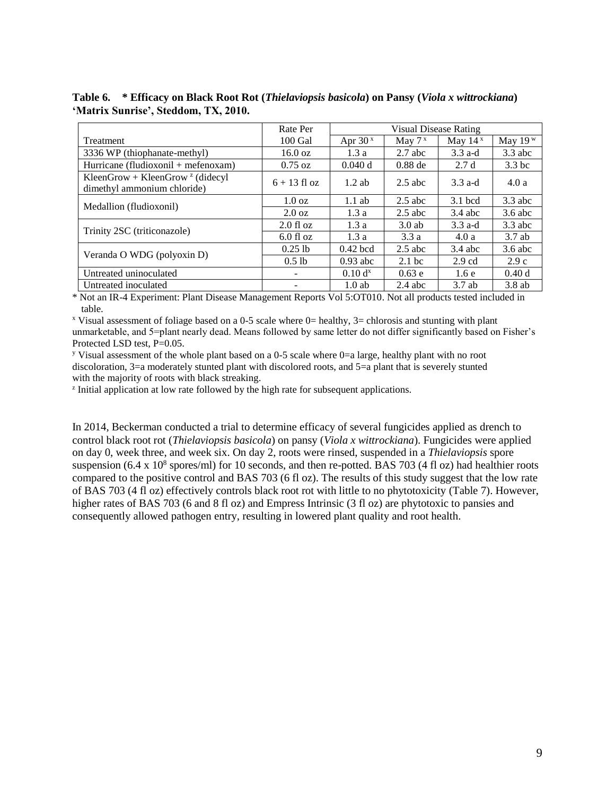|                                                                                          | Rate Per          | Visual Disease Rating |                   |                  |                   |  |  |
|------------------------------------------------------------------------------------------|-------------------|-----------------------|-------------------|------------------|-------------------|--|--|
| Treatment                                                                                | $100$ Gal         | Apr $30x$             | May $7^x$         | May $14^x$       | May $19w$         |  |  |
| 3336 WP (thiophanate-methyl)                                                             | $16.0 \text{ oz}$ | 1.3a                  | $2.7$ abc         | $3.3$ a-d        | $3.3$ abc         |  |  |
| Hurricane (fludioxonil + mefenoxam)                                                      | $0.75 \text{ oz}$ | 0.040 d               | $0.88$ de         | 2.7d             | 3.3 <sub>bc</sub> |  |  |
| KleenGrow + KleenGrow <sup><math>z</math></sup> (didecyl)<br>dimethyl ammonium chloride) | $6 + 13$ fl oz    | $1.2$ ab              | $2.5$ abc         | $3.3$ a-d        | 4.0a              |  |  |
|                                                                                          | $1.0 \text{ oz}$  | $1.1$ ab              | $2.5$ abc         | $3.1$ bcd        | $3.3$ abc         |  |  |
| Medallion (fludioxonil)                                                                  | $2.0 \text{ oz}$  | 1.3a                  | $2.5$ abc         | $3.4$ abc        | $3.6$ abc         |  |  |
|                                                                                          | $2.0$ fl oz       | 1.3a                  | $3.0$ ab          | $3.3$ a-d        | $3.3$ abc         |  |  |
| Trinity 2SC (triticonazole)                                                              | $6.0$ fl oz       | 1.3a                  | 3.3a              | 4.0a             | $3.7$ ab          |  |  |
|                                                                                          | $0.25$ lb         | $0.42$ bcd            | $2.5$ abc         | $3.4$ abc        | $3.6$ abc         |  |  |
| Veranda O WDG (polyoxin D)                                                               | $0.5$ lb          | $0.93$ abc            | 2.1 <sub>bc</sub> | $2.9 \text{ cd}$ | 2.9c              |  |  |
| Untreated uninoculated                                                                   |                   | $0.10 d^{x}$          | 0.63 e            | 1.6e             | 0.40d             |  |  |
| Untreated inoculated                                                                     |                   | $1.0$ ab              | $2.4$ abc         | 3.7ab            | $3.8$ ab          |  |  |

<span id="page-8-0"></span>**Table 6. \* Efficacy on Black Root Rot (***Thielaviopsis basicola***) on Pansy (***Viola x wittrockiana***) 'Matrix Sunrise', Steddom, TX, 2010.**

\* Not an IR-4 Experiment: Plant Disease Management Reports Vol 5:OT010. Not all products tested included in table.

 $x$  Visual assessment of foliage based on a 0-5 scale where 0= healthy, 3= chlorosis and stunting with plant unmarketable, and 5=plant nearly dead. Means followed by same letter do not differ significantly based on Fisher's Protected LSD test, P=0.05.

<sup>y</sup> Visual assessment of the whole plant based on a 0-5 scale where 0=a large, healthy plant with no root discoloration, 3=a moderately stunted plant with discolored roots, and 5=a plant that is severely stunted with the majority of roots with black streaking.

<sup>z</sup> Initial application at low rate followed by the high rate for subsequent applications.

In 2014, Beckerman conducted a trial to determine efficacy of several fungicides applied as drench to control black root rot (*Thielaviopsis basicola*) on pansy (*Viola x wittrockiana*). Fungicides were applied on day 0, week three, and week six. On day 2, roots were rinsed, suspended in a *Thielaviopsis* spore suspension  $(6.4 \times 10^8 \text{ spores/ml})$  for 10 seconds, and then re-potted. BAS 703 (4 fl oz) had healthier roots compared to the positive control and BAS 703 (6 fl oz). The results of this study suggest that the low rate of BAS 703 (4 fl oz) effectively controls black root rot with little to no phytotoxicity [\(Table 7\)](#page-9-0). However, higher rates of BAS 703 (6 and 8 fl oz) and Empress Intrinsic (3 fl oz) are phytotoxic to pansies and consequently allowed pathogen entry, resulting in lowered plant quality and root health.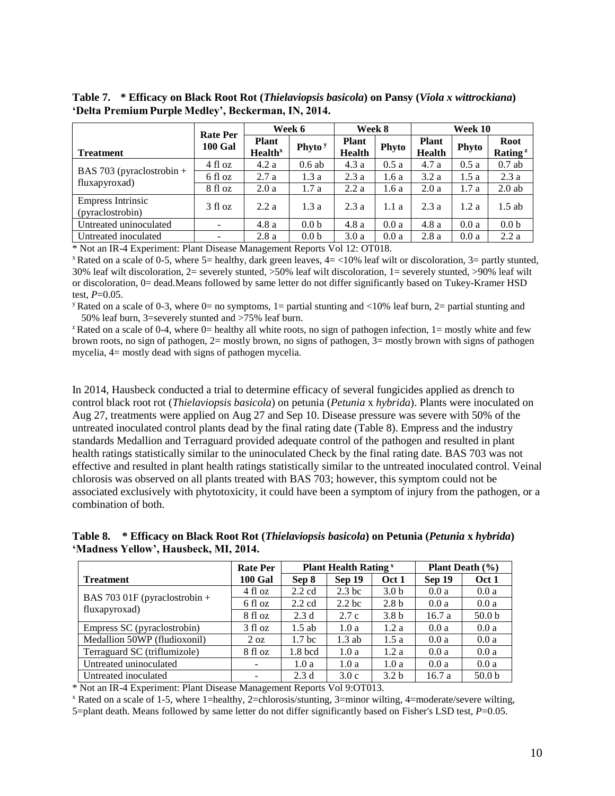|                                              | <b>Rate Per</b> | Week 6                                     |                    | Week 8                        |       | Week 10                       |       |                                    |
|----------------------------------------------|-----------------|--------------------------------------------|--------------------|-------------------------------|-------|-------------------------------|-------|------------------------------------|
| <b>Treatment</b>                             | <b>100 Gal</b>  | <b>Plant</b><br><b>Health</b> <sup>x</sup> | Phyto <sup>y</sup> | <b>Plant</b><br><b>Health</b> | Phyto | <b>Plant</b><br><b>Health</b> | Phyto | <b>Root</b><br>Rating <sup>z</sup> |
|                                              | 4 fl oz         | 4.2a                                       | $0.6$ ab           | 4.3a                          | 0.5a  | 4.7a                          | 0.5a  | $0.7$ ab                           |
| BAS 703 (pyraclostrobin $+$                  | 6 fl oz         | 2.7a                                       | 1.3a               | 2.3a                          | 1.6a  | 3.2a                          | 1.5a  | 2.3a                               |
| fluxapyroxad)                                | 8 fl oz         | 2.0a                                       | 1.7a               | 2.2a                          | 1.6a  | 2.0a                          | 1.7a  | $2.0$ ab                           |
| <b>Empress Intrinsic</b><br>(pyraclostrobin) | 3 fl oz         | 2.2a                                       | 1.3a               | 2.3a                          | 1.1 a | 2.3a                          | 1.2a  | $1.5$ ab                           |
| Untreated uninoculated                       |                 | 4.8a                                       | 0.0 <sub>b</sub>   | 4.8a                          | 0.0a  | 4.8a                          | 0.0a  | 0.0 <sub>b</sub>                   |
| Untreated inoculated                         |                 | 2.8a                                       | 0.0 <sub>b</sub>   | 3.0a                          | 0.0a  | 2.8a                          | 0.0a  | 2.2a                               |

<span id="page-9-0"></span>**Table 7. \* Efficacy on Black Root Rot (***Thielaviopsis basicola***) on Pansy (***Viola x wittrockiana***) 'Delta Premium Purple Medley', Beckerman, IN, 2014.**

\* Not an IR-4 Experiment: Plant Disease Management Reports Vol 12: OT018.

 $x$  Rated on a scale of 0-5, where 5= healthy, dark green leaves,  $4 = \langle 10\%$  leaf wilt or discoloration,  $3 =$  partly stunted, 30% leaf wilt discoloration, 2= severely stunted, >50% leaf wilt discoloration, 1= severely stunted, >90% leaf wilt or discoloration, 0= dead.Means followed by same letter do not differ significantly based on Tukey-Kramer HSD test, *P*=0.05.

<sup>y</sup> Rated on a scale of 0-3, where 0= no symptoms, 1= partial stunting and <10% leaf burn, 2= partial stunting and 50% leaf burn, 3=severely stunted and >75% leaf burn.

<sup>z</sup>Rated on a scale of 0-4, where 0= healthy all white roots, no sign of pathogen infection, 1= mostly white and few brown roots, no sign of pathogen, 2= mostly brown, no signs of pathogen, 3= mostly brown with signs of pathogen mycelia, 4= mostly dead with signs of pathogen mycelia.

In 2014, Hausbeck conducted a trial to determine efficacy of several fungicides applied as drench to control black root rot (*Thielaviopsis basicola*) on petunia (*Petunia* x *hybrida*). Plants were inoculated on Aug 27, treatments were applied on Aug 27 and Sep 10. Disease pressure was severe with 50% of the untreated inoculated control plants dead by the final rating date [\(Table 8\)](#page-9-1). Empress and the industry standards Medallion and Terraguard provided adequate control of the pathogen and resulted in plant health ratings statistically similar to the uninoculated Check by the final rating date. BAS 703 was not effective and resulted in plant health ratings statistically similar to the untreated inoculated control. Veinal chlorosis was observed on all plants treated with BAS 703; however, this symptom could not be associated exclusively with phytotoxicity, it could have been a symptom of injury from the pathogen, or a combination of both.

<span id="page-9-1"></span>**Table 8. \* Efficacy on Black Root Rot (***Thielaviopsis basicola***) on Petunia (***Petunia* **x** *hybrida***) 'Madness Yellow', Hausbeck, MI, 2014.**

|                               | <b>Rate Per</b> |                   | <b>Plant Health Rating</b> <sup>x</sup> | <b>Plant Death</b> $(\% )$ |        |                   |
|-------------------------------|-----------------|-------------------|-----------------------------------------|----------------------------|--------|-------------------|
| <b>Treatment</b>              | <b>100 Gal</b>  | Sep 8             | Sep 19                                  | Oct 1                      | Sep 19 | Oct 1             |
|                               | 4 fl oz         | $2.2 \text{ cd}$  | 2.3 <sub>bc</sub>                       | 3.0 <sub>b</sub>           | 0.0a   | 0.0a              |
| BAS 703 01F (pyraclostrobin + | 6 fl oz         | $2.2 \text{ cd}$  | 2.2 <sub>bc</sub>                       | 2.8 <sub>b</sub>           | 0.0a   | 0.0a              |
| fluxapyroxad)                 | 8 fl oz         | 2.3d              | 2.7c                                    | 3.8 <sub>b</sub>           | 16.7a  | 50.0 <sub>b</sub> |
| Empress SC (pyraclostrobin)   | 3 fl oz         | $1.5$ ab          | 1.0a                                    | 1.2a                       | 0.0a   | 0.0a              |
| Medallion 50WP (fludioxonil)  | $2 \text{ oz}$  | 1.7 <sub>bc</sub> | $1.3$ ab                                | 1.5a                       | 0.0a   | 0.0a              |
| Terraguard SC (triflumizole)  | 8 fl oz         | $1.8$ bcd         | 1.0a                                    | 1.2a                       | 0.0a   | 0.0a              |
| Untreated uninoculated        |                 | 1.0a              | 1.0a                                    | 1.0a                       | 0.0a   | 0.0a              |
| Untreated inoculated          |                 | 2.3d              | 3.0c                                    | 3.2 <sub>b</sub>           | 16.7 a | 50.0 <sub>b</sub> |

\* Not an IR-4 Experiment: Plant Disease Management Reports Vol 9:OT013.

<sup>x</sup> Rated on a scale of 1-5, where 1=healthy, 2=chlorosis/stunting, 3=minor wilting, 4=moderate/severe wilting, 5=plant death. Means followed by same letter do not differ significantly based on Fisher's LSD test, *P*=0.05.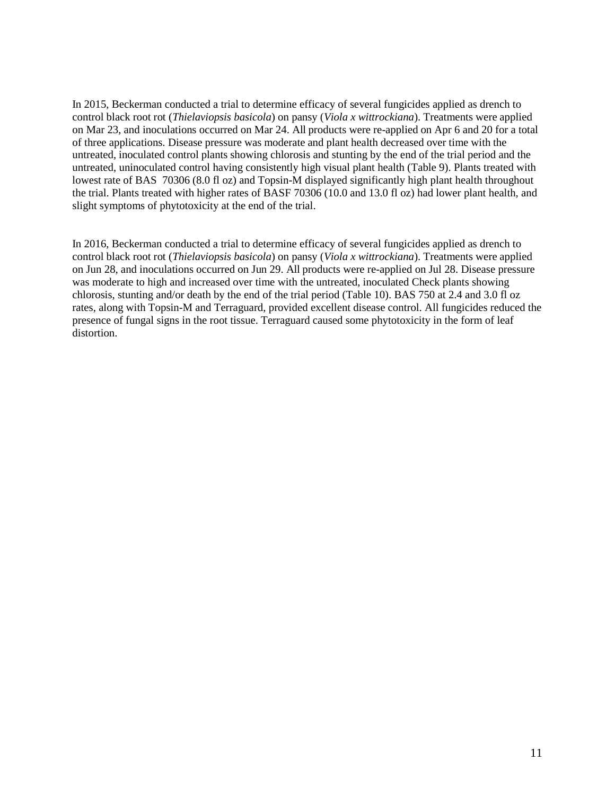In 2015, Beckerman conducted a trial to determine efficacy of several fungicides applied as drench to control black root rot (*Thielaviopsis basicola*) on pansy (*Viola x wittrockiana*). Treatments were applied on Mar 23, and inoculations occurred on Mar 24. All products were re-applied on Apr 6 and 20 for a total of three applications. Disease pressure was moderate and plant health decreased over time with the untreated, inoculated control plants showing chlorosis and stunting by the end of the trial period and the untreated, uninoculated control having consistently high visual plant health [\(Table 9\)](#page-11-0). Plants treated with lowest rate of BAS 70306 (8.0 fl oz) and Topsin-M displayed significantly high plant health throughout the trial. Plants treated with higher rates of BASF 70306 (10.0 and 13.0 fl oz) had lower plant health, and slight symptoms of phytotoxicity at the end of the trial.

In 2016, Beckerman conducted a trial to determine efficacy of several fungicides applied as drench to control black root rot (*Thielaviopsis basicola*) on pansy (*Viola x wittrockiana*). Treatments were applied on Jun 28, and inoculations occurred on Jun 29. All products were re-applied on Jul 28. Disease pressure was moderate to high and increased over time with the untreated, inoculated Check plants showing chlorosis, stunting and/or death by the end of the trial period [\(Table 10\)](#page-11-1). BAS 750 at 2.4 and 3.0 fl oz rates, along with Topsin-M and Terraguard, provided excellent disease control. All fungicides reduced the presence of fungal signs in the root tissue. Terraguard caused some phytotoxicity in the form of leaf distortion.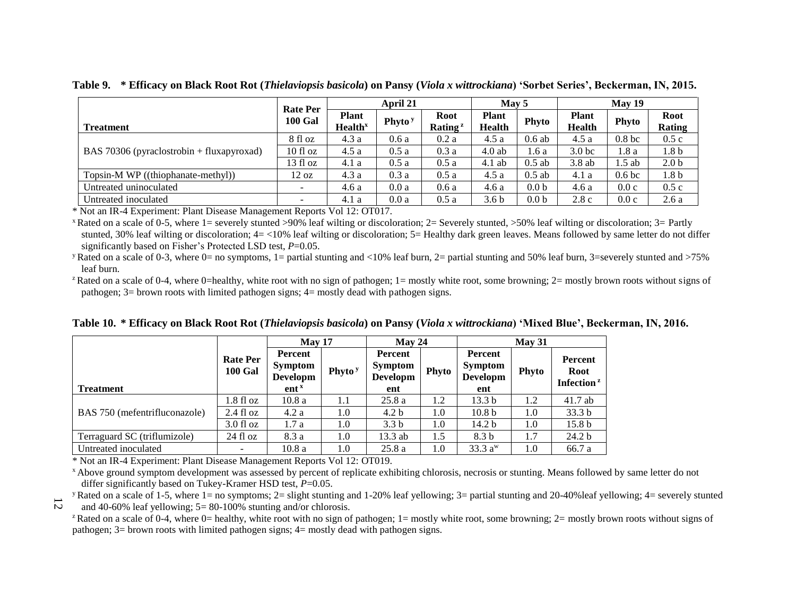|                                             |                                   | April 21                                   |                    |                                    | May 5                         |                  | May 19                        |                   |                              |
|---------------------------------------------|-----------------------------------|--------------------------------------------|--------------------|------------------------------------|-------------------------------|------------------|-------------------------------|-------------------|------------------------------|
| <b>Treatment</b>                            | <b>Rate Per</b><br><b>100 Gal</b> | <b>Plant</b><br><b>Health</b> <sup>x</sup> | Phyto <sup>y</sup> | <b>Root</b><br>Rating <sup>z</sup> | <b>Plant</b><br><b>Health</b> | Phyto            | <b>Plant</b><br><b>Health</b> | <b>Phyto</b>      | <b>Root</b><br><b>Rating</b> |
|                                             | 8 fl oz                           | 4.3a                                       | 0.6a               | 0.2a                               | 4.5 a                         | $0.6$ ab         | 4.5a                          | 0.8 <sub>bc</sub> | 0.5c                         |
| BAS 70306 (pyraclostrobin $+$ fluxapyroxad) | $10$ fl oz                        | 4.5a                                       | 0.5a               | 0.3a                               | $4.0$ ab                      | 1.6 a            | 3.0 <sub>bc</sub>             | 1.8 a             | 1.8 <sub>b</sub>             |
|                                             | 13f1oz                            | 4.1 a                                      | 0.5a               | 0.5a                               | $4.1$ ab                      | $0.5$ ab         | $3.8$ ab                      | $1.5$ ab          | 2.0 <sub>b</sub>             |
| Topsin-M WP ((thiophanate-methyl))          | 12 oz                             | 4.3a                                       | 0.3a               | 0.5a                               | 4.5 a                         | $0.5$ ab         | 4.1 a                         | 0.6 <sub>bc</sub> | 1.8 <sub>b</sub>             |
| Untreated uninoculated                      | $\overline{\phantom{0}}$          | 4.6a                                       | 0.0a               | 0.6a                               | 4.6a                          | 0.0 <sub>b</sub> | 4.6a                          | 0.0c              | 0.5c                         |
| Untreated inoculated                        | $\overline{\phantom{0}}$          | 4.1 a                                      | 0.0a               | 0.5a                               | 3.6 <sub>b</sub>              | 0.0 <sub>b</sub> | 2.8c                          | 0.0c              | 2.6a                         |

**Table 9. \* Efficacy on Black Root Rot (***Thielaviopsis basicola***) on Pansy (***Viola x wittrockiana***) 'Sorbet Series', Beckerman, IN, 2015.**

\* Not an IR-4 Experiment: Plant Disease Management Reports Vol 12: OT017.

 $x$  Rated on a scale of 0-5, where 1= severely stunted >90% leaf wilting or discoloration; 2= Severely stunted, >50% leaf wilting or discoloration; 3= Partly stunted, 30% leaf wilting or discoloration;  $4 = \langle 10\% \rangle$  leaf wilting or discoloration;  $5 =$  Healthy dark green leaves. Means followed by same letter do not differ significantly based on Fisher's Protected LSD test,  $P=0.05$ .

<span id="page-11-0"></span><sup>y</sup> Rated on a scale of 0-3, where 0= no symptoms, 1= partial stunting and <10% leaf burn, 2= partial stunting and 50% leaf burn, 3=severely stunted and >75% leaf burn.

<sup>z</sup>Rated on a scale of 0-4, where 0=healthy, white root with no sign of pathogen; 1= mostly white root, some browning; 2= mostly brown roots without signs of pathogen; 3= brown roots with limited pathogen signs; 4= mostly dead with pathogen signs.

|  |  |  | Table 10. * Efficacy on Black Root Rot (Thielaviopsis basicola) on Pansy (Viola x wittrockiana) 'Mixed Blue', Beckerman, IN, 2016. |  |  |  |
|--|--|--|------------------------------------------------------------------------------------------------------------------------------------|--|--|--|
|--|--|--|------------------------------------------------------------------------------------------------------------------------------------|--|--|--|

|                               |                                   | May 17                                             |                    | $M$ av 24                                           |       | May 31                                              |              |                                                  |  |
|-------------------------------|-----------------------------------|----------------------------------------------------|--------------------|-----------------------------------------------------|-------|-----------------------------------------------------|--------------|--------------------------------------------------|--|
| <b>Treatment</b>              | <b>Rate Per</b><br><b>100 Gal</b> | Percent<br>Symptom<br>Developm<br>ent <sup>x</sup> | Phyto <sup>y</sup> | Percent<br><b>Symptom</b><br><b>Developm</b><br>ent | Phyto | Percent<br><b>Symptom</b><br><b>Developm</b><br>ent | <b>Phyto</b> | Percent<br><b>Root</b><br>Infection <sup>z</sup> |  |
|                               | $1.8f1$ oz                        | 10.8a                                              | 1.1                | 25.8a                                               | 1.2   | 13.3 <sub>b</sub>                                   | 1.2          | $41.7$ ab                                        |  |
| BAS 750 (mefentrifluconazole) | $2.4$ fl oz                       | 4.2a                                               | 1.0                | 4.2 <sub>b</sub>                                    | 1.0   | 10.8 <sub>b</sub>                                   | 1.0          | 33.3 <sub>b</sub>                                |  |
|                               | $3.0$ fl oz                       | 1.7a                                               | 1.0                | 3.3 <sub>b</sub>                                    | 1.0   | 14.2 <sub>b</sub>                                   | 1.0          | 15.8 <sub>b</sub>                                |  |
| Terraguard SC (triflumizole)  | $24 \text{ fl oz}$                | 8.3 a                                              | 1.0                | 13.3 ab                                             | 1.5   | 8.3 <sub>b</sub>                                    | 1.7          | 24.2 <sub>b</sub>                                |  |
| Untreated inoculated          | -                                 | 10.8a                                              | 1.0                | 25.8a                                               | 0.1   | 33.3 $a^w$                                          | 1.0          | 66.7 a                                           |  |

\* Not an IR-4 Experiment: Plant Disease Management Reports Vol 12: OT019.

<sup>x</sup> Above ground symptom development was assessed by percent of replicate exhibiting chlorosis, necrosis or stunting. Means followed by same letter do not differ significantly based on Tukey-Kramer HSD test,  $P=0.05$ .

<span id="page-11-1"></span>y Rated on a scale of 1-5, where 1= no symptoms;  $2 =$  slight stunting and 1-20% leaf yellowing;  $3 =$  partial stunting and 20-40% leaf yellowing;  $4 =$  severely stunted

12 and 40-60% leaf yellowing;  $5 = 80 - 100\%$  stunting and/or chlorosis.

<sup>z</sup> Rated on a scale of 0-4, where 0= healthy, white root with no sign of pathogen; 1= mostly white root, some browning; 2= mostly brown roots without signs of pathogen; 3= brown roots with limited pathogen signs; 4= mostly dead with pathogen signs.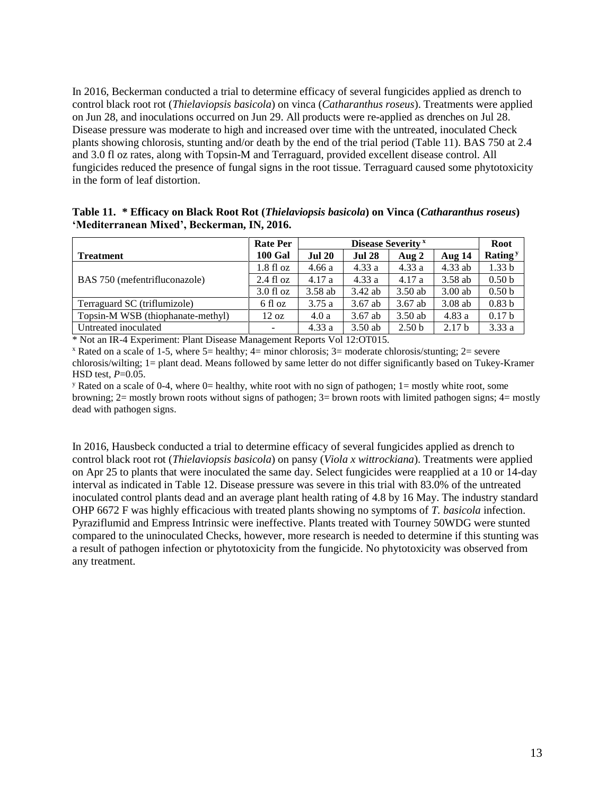In 2016, Beckerman conducted a trial to determine efficacy of several fungicides applied as drench to control black root rot (*Thielaviopsis basicola*) on vinca (*Catharanthus roseus*). Treatments were applied on Jun 28, and inoculations occurred on Jun 29. All products were re-applied as drenches on Jul 28. Disease pressure was moderate to high and increased over time with the untreated, inoculated Check plants showing chlorosis, stunting and/or death by the end of the trial period [\(Table 11\)](#page-12-0). BAS 750 at 2.4 and 3.0 fl oz rates, along with Topsin-M and Terraguard, provided excellent disease control. All fungicides reduced the presence of fungal signs in the root tissue. Terraguard caused some phytotoxicity in the form of leaf distortion.

<span id="page-12-0"></span>

|                                             | Table 11. * Efficacy on Black Root Rot (Thielaviopsis basicola) on Vinca (Catharanthus roseus) |
|---------------------------------------------|------------------------------------------------------------------------------------------------|
| 'Mediterranean Mixed', Beckerman, IN, 2016. |                                                                                                |

|                                   | <b>Rate Per</b>          | <b>Disease Severity</b> x |               |                   | <b>Root</b>       |                     |
|-----------------------------------|--------------------------|---------------------------|---------------|-------------------|-------------------|---------------------|
| <b>Treatment</b>                  | <b>100 Gal</b>           | <b>Jul 20</b>             | <b>Jul 28</b> | Aug 2             | Aug 14            | Rating <sup>y</sup> |
|                                   | $1.8f1$ oz               | 4.66a                     | 4.33a         | 4.33a             | $4.33$ ab         | 1.33 <sub>b</sub>   |
| BAS 750 (mefentrifluconazole)     | $2.4 \text{ fl oz}$      | 4.17a                     | 4.33a         | 4.17a             | 3.58 ab           | 0.50 <sub>b</sub>   |
|                                   | $3.0$ fl oz              | $3.58$ ab                 | 3.42 ab       | $3.50$ ab         | $3.00$ ab         | 0.50 <sub>b</sub>   |
| Terraguard SC (triflumizole)      | 6 fl oz                  | 3.75a                     | $3.67$ ab     | $3.67$ ab         | $3.08$ ab         | 0.83 <sub>b</sub>   |
| Topsin-M WSB (thiophanate-methyl) | $12 \text{ oz}$          | 4.0a                      | $3.67$ ab     | $3.50$ ab         | 4.83a             | 0.17 <sub>b</sub>   |
| Untreated inoculated              | $\overline{\phantom{0}}$ | 4.33a                     | $3.50$ ab     | 2.50 <sub>b</sub> | 2.17 <sub>b</sub> | 3.33a               |

\* Not an IR-4 Experiment: Plant Disease Management Reports Vol 12:OT015.

 $\overline{x}$  Rated on a scale of 1-5, where 5= healthy; 4= minor chlorosis; 3= moderate chlorosis/stunting; 2= severe chlorosis/wilting; 1= plant dead. Means followed by same letter do not differ significantly based on Tukey-Kramer HSD test, *P*=0.05.

<sup>y</sup> Rated on a scale of 0-4, where 0= healthy, white root with no sign of pathogen;  $1=$  mostly white root, some browning; 2= mostly brown roots without signs of pathogen; 3= brown roots with limited pathogen signs; 4= mostly dead with pathogen signs.

In 2016, Hausbeck conducted a trial to determine efficacy of several fungicides applied as drench to control black root rot (*Thielaviopsis basicola*) on pansy (*Viola x wittrockiana*). Treatments were applied on Apr 25 to plants that were inoculated the same day. Select fungicides were reapplied at a 10 or 14-day interval as indicated in [Table 12.](#page-13-0) Disease pressure was severe in this trial with 83.0% of the untreated inoculated control plants dead and an average plant health rating of 4.8 by 16 May. The industry standard OHP 6672 F was highly efficacious with treated plants showing no symptoms of *T. basicola* infection. Pyraziflumid and Empress Intrinsic were ineffective. Plants treated with Tourney 50WDG were stunted compared to the uninoculated Checks, however, more research is needed to determine if this stunting was a result of pathogen infection or phytotoxicity from the fungicide. No phytotoxicity was observed from any treatment.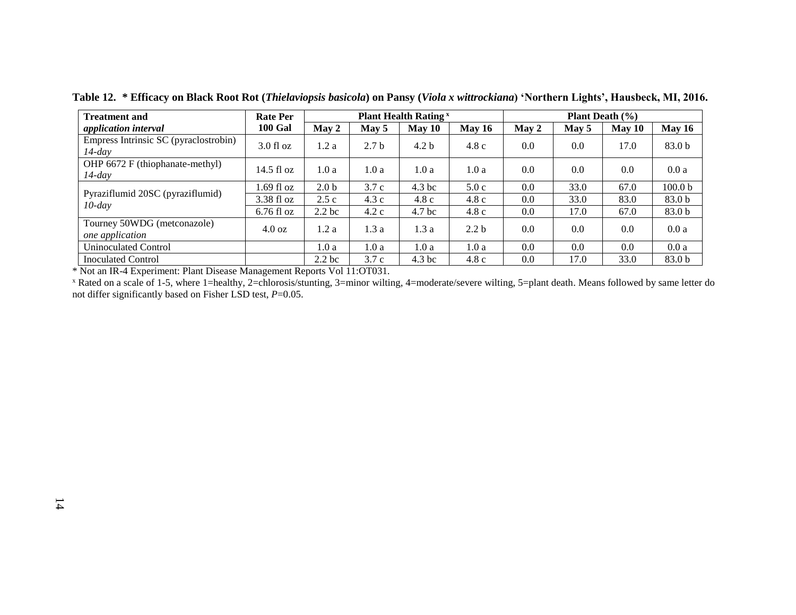| <b>Treatment and</b>                               | <b>Rate Per</b>      |                   | <b>Plant Health Rating</b> <sup>x</sup> |                   |                  |       | <b>Plant Death</b> $(\% )$ |        |                    |  |
|----------------------------------------------------|----------------------|-------------------|-----------------------------------------|-------------------|------------------|-------|----------------------------|--------|--------------------|--|
| application interval                               | <b>100 Gal</b>       | May 2             | May 5                                   | May 10            | May $16$         | May 2 | May 5                      | May 10 | <b>May 16</b>      |  |
| Empress Intrinsic SC (pyraclostrobin)<br>$14$ -day | $3.0$ fl oz          | 1.2 a             | 2.7 <sub>b</sub>                        | 4.2 <sub>b</sub>  | 4.8c             | 0.0   | 0.0                        | 17.0   | 83.0 b             |  |
| OHP 6672 F (thiophanate-methyl)<br>$14$ -day       | $14.5$ fl oz         | 1.0a              | 1.0a                                    | 1.0 a             | 1.0a             | 0.0   | 0.0                        | 0.0    | 0.0a               |  |
|                                                    | $1.69$ fl oz         | 2.0 <sub>b</sub>  | 3.7c                                    | 4.3 <sub>bc</sub> | 5.0c             | 0.0   | 33.0                       | 67.0   | 100.0 <sub>b</sub> |  |
| Pyraziflumid 20SC (pyraziflumid)<br>$10$ -day      | $3.38 \text{ fl oz}$ | 2.5c              | 4.3c                                    | 4.8c              | 4.8c             | 0.0   | 33.0                       | 83.0   | 83.0 b             |  |
|                                                    | $6.76$ fl oz         | 2.2 <sub>bc</sub> | 4.2c                                    | 4.7 <sub>bc</sub> | 4.8c             | 0.0   | 17.0                       | 67.0   | 83.0 b             |  |
| Tourney 50WDG (metconazole)<br>one application     | $4.0 \text{ oz}$     | 1.2 a             | 1.3a                                    | 1.3 a             | 2.2 <sub>b</sub> | 0.0   | 0.0                        | 0.0    | 0.0a               |  |
| <b>Uninoculated Control</b>                        |                      | 1.0 a             | 1.0a                                    | 1.0 a             | 1.0a             | 0.0   | 0.0                        | 0.0    | 0.0a               |  |
| <b>Inoculated Control</b>                          |                      | 2.2 <sub>bc</sub> | 3.7c                                    | 4.3 <sub>bc</sub> | 4.8c             | 0.0   | 17.0                       | 33.0   | 83.0 b             |  |

**Table 12. \* Efficacy on Black Root Rot (***Thielaviopsis basicola***) on Pansy (***Viola x wittrockiana***) 'Northern Lights', Hausbeck, MI, 2016.**

<span id="page-13-0"></span>\* Not an IR-4 Experiment: Plant Disease Management Reports Vol 11:OT031.

<sup>x</sup> Rated on a scale of 1-5, where 1=healthy, 2=chlorosis/stunting, 3=minor wilting, 4=moderate/severe wilting, 5=plant death. Means followed by same letter do not differ significantly based on Fisher LSD test, *P*=0.05.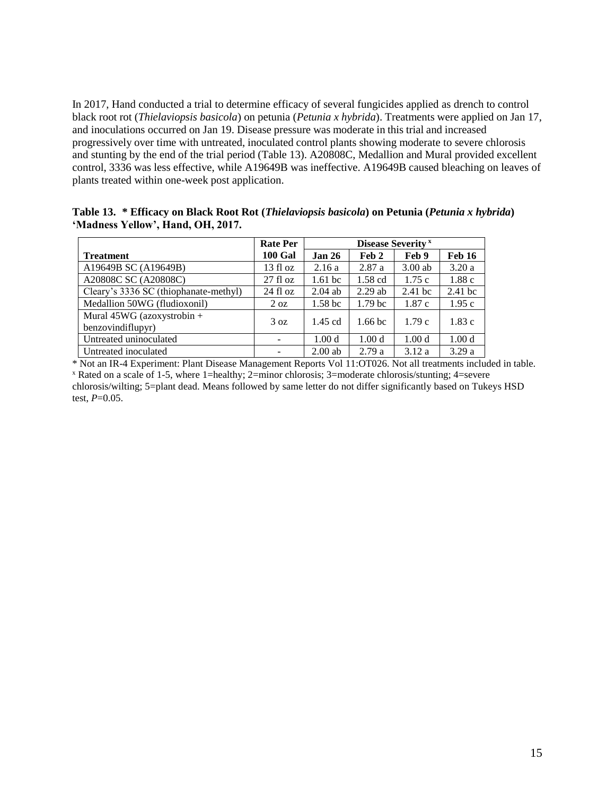In 2017, Hand conducted a trial to determine efficacy of several fungicides applied as drench to control black root rot (*Thielaviopsis basicola*) on petunia (*Petunia x hybrida*). Treatments were applied on Jan 17, and inoculations occurred on Jan 19. Disease pressure was moderate in this trial and increased progressively over time with untreated, inoculated control plants showing moderate to severe chlorosis and stunting by the end of the trial period [\(Table 13\)](#page-14-0). A20808C, Medallion and Mural provided excellent control, 3336 was less effective, while A19649B was ineffective. A19649B caused bleaching on leaves of plants treated within one-week post application.

<span id="page-14-0"></span>**Table 13. \* Efficacy on Black Root Rot (***Thielaviopsis basicola***) on Petunia (***Petunia x hybrida***) 'Madness Yellow', Hand, OH, 2017.**

|                                                 | <b>Rate Per</b>    |                    |                    | <b>Disease Severity</b> x |                   |
|-------------------------------------------------|--------------------|--------------------|--------------------|---------------------------|-------------------|
| <b>Treatment</b>                                | <b>100 Gal</b>     | <b>Jan 26</b>      | Feb 2              | Feb 9                     | <b>Feb 16</b>     |
| A19649B SC (A19649B)                            | 13f1oz             | 2.16a              | 2.87a              | $3.00$ ab                 | 3.20a             |
| A20808C SC (A20808C)                            | $27$ fl oz         | 1.61 <sub>bc</sub> | $1.58$ cd          | 1.75c                     | 1.88c             |
| Cleary's 3336 SC (thiophanate-methyl)           | $24 \text{ fl oz}$ | $2.04$ ab          | $2.29$ ab          | $2.41$ bc                 | $2.41$ bc         |
| Medallion 50WG (fludioxonil)                    | $2 \text{ oz}$     | 1.58 <sub>bc</sub> | 1.79 <sub>bc</sub> | 1.87c                     | 1.95c             |
| Mural 45WG (azoxystrobin +<br>benzovindiflupyr) | 3 oz               | $1.45$ cd          | 1.66 <sub>bc</sub> | 1.79c                     | 1.83c             |
| Untreated uninoculated                          |                    | 1.00 <sub>d</sub>  | 1.00 <sub>d</sub>  | 1.00 <sub>d</sub>         | 1.00 <sub>d</sub> |
| Untreated inoculated                            |                    | $2.00$ ab          | 2.79a              | 3.12a                     | 3.29a             |

\* Not an IR-4 Experiment: Plant Disease Management Reports Vol 11:OT026. Not all treatments included in table. <sup>x</sup> Rated on a scale of 1-5, where 1=healthy; 2=minor chlorosis; 3=moderate chlorosis/stunting; 4=severe chlorosis/wilting; 5=plant dead. Means followed by same letter do not differ significantly based on Tukeys HSD test, *P*=0.05.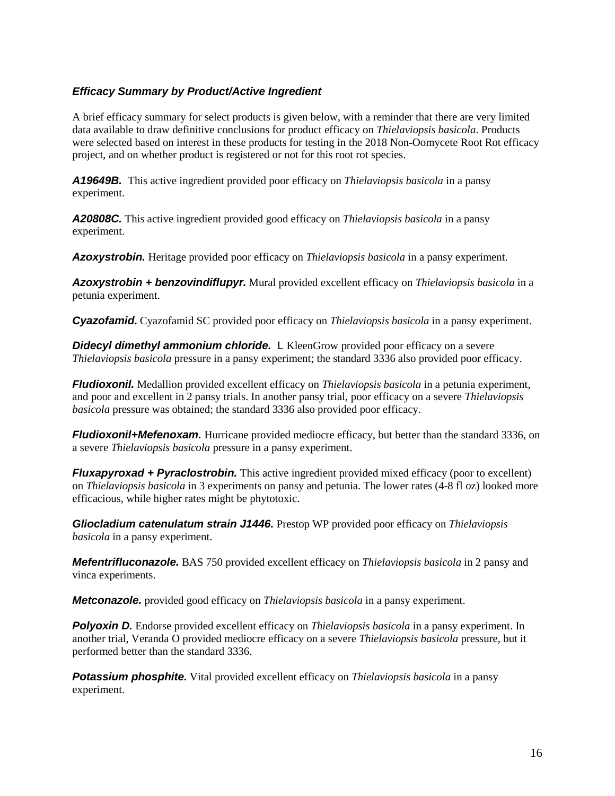#### <span id="page-15-0"></span>*Efficacy Summary by Product/Active Ingredient*

A brief efficacy summary for select products is given below, with a reminder that there are very limited data available to draw definitive conclusions for product efficacy on *Thielaviopsis basicola*. Products were selected based on interest in these products for testing in the 2018 Non-Oomycete Root Rot efficacy project, and on whether product is registered or not for this root rot species.

<span id="page-15-1"></span>*A19649B.* This active ingredient provided poor efficacy on *Thielaviopsis basicola* in a pansy experiment.

<span id="page-15-2"></span>*A20808C.* This active ingredient provided good efficacy on *Thielaviopsis basicola* in a pansy experiment.

<span id="page-15-3"></span>*Azoxystrobin.* Heritage provided poor efficacy on *Thielaviopsis basicola* in a pansy experiment.

<span id="page-15-4"></span>*Azoxystrobin + benzovindiflupyr.* Mural provided excellent efficacy on *Thielaviopsis basicola* in a petunia experiment.

<span id="page-15-5"></span>*Cyazofamid***.** Cyazofamid SC provided poor efficacy on *Thielaviopsis basicola* in a pansy experiment.

<span id="page-15-6"></span>**Didecyl dimethyl ammonium chloride.** L KleenGrow provided poor efficacy on a severe *Thielaviopsis basicola* pressure in a pansy experiment; the standard 3336 also provided poor efficacy.

<span id="page-15-7"></span>*Fludioxonil.* Medallion provided excellent efficacy on *Thielaviopsis basicola* in a petunia experiment, and poor and excellent in 2 pansy trials. In another pansy trial, poor efficacy on a severe *Thielaviopsis basicola* pressure was obtained; the standard 3336 also provided poor efficacy.

<span id="page-15-8"></span>*Fludioxonil+Mefenoxam.* Hurricane provided mediocre efficacy, but better than the standard 3336, on a severe *Thielaviopsis basicola* pressure in a pansy experiment.

<span id="page-15-9"></span>*Fluxapyroxad + Pyraclostrobin.* This active ingredient provided mixed efficacy (poor to excellent) on *Thielaviopsis basicola* in 3 experiments on pansy and petunia. The lower rates (4-8 fl oz) looked more efficacious, while higher rates might be phytotoxic.

<span id="page-15-10"></span>*Gliocladium catenulatum strain J1446.* Prestop WP provided poor efficacy on *Thielaviopsis basicola* in a pansy experiment.

<span id="page-15-11"></span>*Mefentrifluconazole.* BAS 750 provided excellent efficacy on *Thielaviopsis basicola* in 2 pansy and vinca experiments.

<span id="page-15-12"></span>*Metconazole.* provided good efficacy on *Thielaviopsis basicola* in a pansy experiment.

<span id="page-15-13"></span>*Polyoxin D.* Endorse provided excellent efficacy on *Thielaviopsis basicola* in a pansy experiment. In another trial, Veranda O provided mediocre efficacy on a severe *Thielaviopsis basicola* pressure, but it performed better than the standard 3336.

<span id="page-15-14"></span>*Potassium phosphite.* Vital provided excellent efficacy on *Thielaviopsis basicola* in a pansy experiment.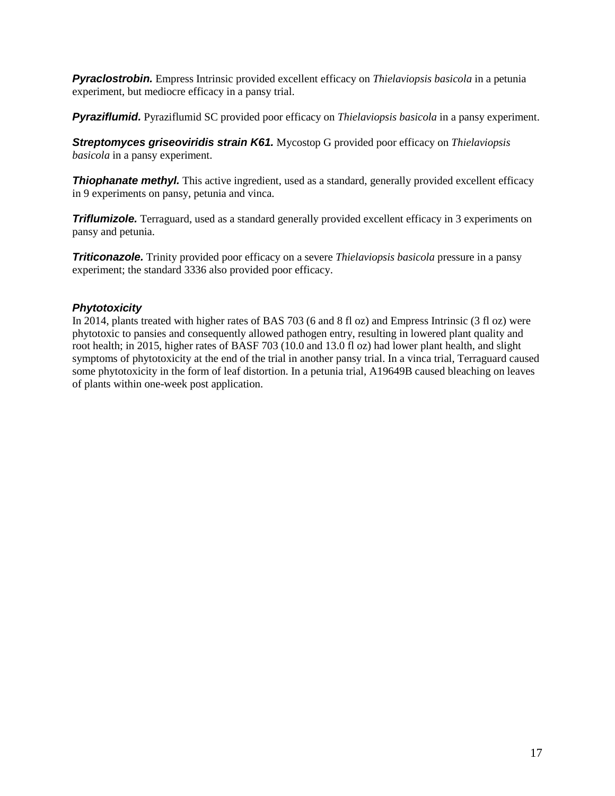<span id="page-16-0"></span>*Pyraclostrobin.* Empress Intrinsic provided excellent efficacy on *Thielaviopsis basicola* in a petunia experiment, but mediocre efficacy in a pansy trial.

<span id="page-16-1"></span>*Pyraziflumid.* Pyraziflumid SC provided poor efficacy on *Thielaviopsis basicola* in a pansy experiment.

<span id="page-16-2"></span>*Streptomyces griseoviridis strain K61.* Mycostop G provided poor efficacy on *Thielaviopsis basicola* in a pansy experiment.

<span id="page-16-3"></span>**Thiophanate methyl.** This active ingredient, used as a standard, generally provided excellent efficacy in 9 experiments on pansy, petunia and vinca.

<span id="page-16-4"></span>**Triflumizole.** Terraguard, used as a standard generally provided excellent efficacy in 3 experiments on pansy and petunia.

<span id="page-16-5"></span>*Triticonazole.* Trinity provided poor efficacy on a severe *Thielaviopsis basicola* pressure in a pansy experiment; the standard 3336 also provided poor efficacy.

#### <span id="page-16-6"></span>*Phytotoxicity*

In 2014, plants treated with higher rates of BAS 703 (6 and 8 fl oz) and Empress Intrinsic (3 fl oz) were phytotoxic to pansies and consequently allowed pathogen entry, resulting in lowered plant quality and root health; in 2015, higher rates of BASF 703 (10.0 and 13.0 fl oz) had lower plant health, and slight symptoms of phytotoxicity at the end of the trial in another pansy trial. In a vinca trial, Terraguard caused some phytotoxicity in the form of leaf distortion. In a petunia trial, A19649B caused bleaching on leaves of plants within one-week post application.